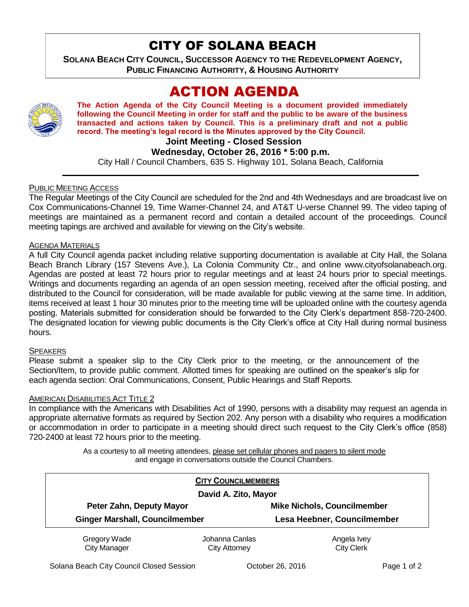# CITY OF SOLANA BEACH

**SOLANA BEACH CITY COUNCIL, SUCCESSOR AGENCY TO THE REDEVELOPMENT AGENCY, PUBLIC FINANCING AUTHORITY, & HOUSING AUTHORITY** 

# ACTION AGENDA



**The Action Agenda of the City Council Meeting is a document provided immediately following the Council Meeting in order for staff and the public to be aware of the business transacted and actions taken by Council. This is a preliminary draft and not a public record. The meeting's legal record is the Minutes approved by the City Council.**

**Joint Meeting - Closed Session**

## **Wednesday, October 26, 2016 \* 5:00 p.m.**

City Hall / Council Chambers, 635 S. Highway 101, Solana Beach, California

## PUBLIC MEETING ACCESS

The Regular Meetings of the City Council are scheduled for the 2nd and 4th Wednesdays and are broadcast live on Cox Communications-Channel 19, Time Warner-Channel 24, and AT&T U-verse Channel 99. The video taping of meetings are maintained as a permanent record and contain a detailed account of the proceedings. Council meeting tapings are archived and available for viewing on the City's website.

### AGENDA MATERIALS

A full City Council agenda packet including relative supporting documentation is available at City Hall, the Solana Beach Branch Library (157 Stevens Ave.), La Colonia Community Ctr., and online www.cityofsolanabeach.org. Agendas are posted at least 72 hours prior to regular meetings and at least 24 hours prior to special meetings. Writings and documents regarding an agenda of an open session meeting, received after the official posting, and distributed to the Council for consideration, will be made available for public viewing at the same time. In addition, items received at least 1 hour 30 minutes prior to the meeting time will be uploaded online with the courtesy agenda posting. Materials submitted for consideration should be forwarded to the City Clerk's department 858-720-2400. The designated location for viewing public documents is the City Clerk's office at City Hall during normal business hours.

### **SPEAKERS**

Please submit a speaker slip to the City Clerk prior to the meeting, or the announcement of the Section/Item, to provide public comment. Allotted times for speaking are outlined on the speaker's slip for each agenda section: Oral Communications, Consent, Public Hearings and Staff Reports.

### AMERICAN DISABILITIES ACT TITLE 2

In compliance with the Americans with Disabilities Act of 1990, persons with a disability may request an agenda in appropriate alternative formats as required by Section 202. Any person with a disability who requires a modification or accommodation in order to participate in a meeting should direct such request to the City Clerk's office (858) 720-2400 at least 72 hours prior to the meeting.

> As a courtesy to all meeting attendees, please set cellular phones and pagers to silent mode and engage in conversations outside the Council Chambers.

|                                       | <b>CITY COUNCILMEMBERS</b>      |                                    |
|---------------------------------------|---------------------------------|------------------------------------|
| David A. Zito, Mayor                  |                                 |                                    |
| Peter Zahn, Deputy Mayor              |                                 | <b>Mike Nichols, Councilmember</b> |
| <b>Ginger Marshall, Councilmember</b> |                                 | Lesa Heebner, Councilmember        |
| Gregory Wade<br><b>City Manager</b>   | Johanna Canlas<br>City Attorney | Angela Ivey<br><b>City Clerk</b>   |